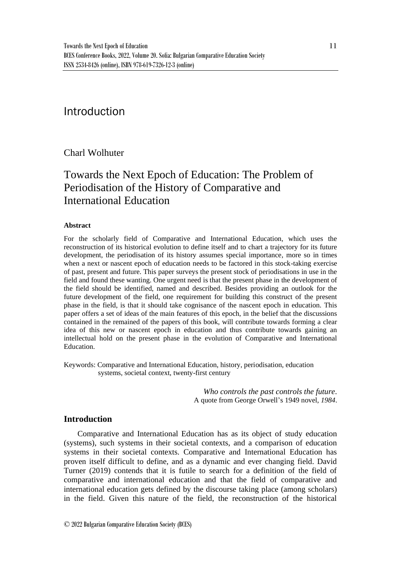## Introduction

## Charl Wolhuter

# Towards the Next Epoch of Education: The Problem of Periodisation of the History of Comparative and International Education

#### **Abstract**

For the scholarly field of Comparative and International Education, which uses the reconstruction of its historical evolution to define itself and to chart a trajectory for its future development, the periodisation of its history assumes special importance, more so in times when a next or nascent epoch of education needs to be factored in this stock-taking exercise of past, present and future. This paper surveys the present stock of periodisations in use in the field and found these wanting. One urgent need is that the present phase in the development of the field should be identified, named and described. Besides providing an outlook for the future development of the field, one requirement for building this construct of the present phase in the field, is that it should take cognisance of the nascent epoch in education. This paper offers a set of ideas of the main features of this epoch, in the belief that the discussions contained in the remained of the papers of this book, will contribute towards forming a clear idea of this new or nascent epoch in education and thus contribute towards gaining an intellectual hold on the present phase in the evolution of Comparative and International Education.

Keywords: Comparative and International Education, history, periodisation, education systems, societal context, twenty-first century

> *Who controls the past controls the future.* A quote from George Orwell's 1949 novel, *1984*.

#### **Introduction**

Comparative and International Education has as its object of study education (systems), such systems in their societal contexts, and a comparison of education systems in their societal contexts. Comparative and International Education has proven itself difficult to define, and as a dynamic and ever changing field. David Turner (2019) contends that it is futile to search for a definition of the field of comparative and international education and that the field of comparative and international education gets defined by the discourse taking place (among scholars) in the field. Given this nature of the field, the reconstruction of the historical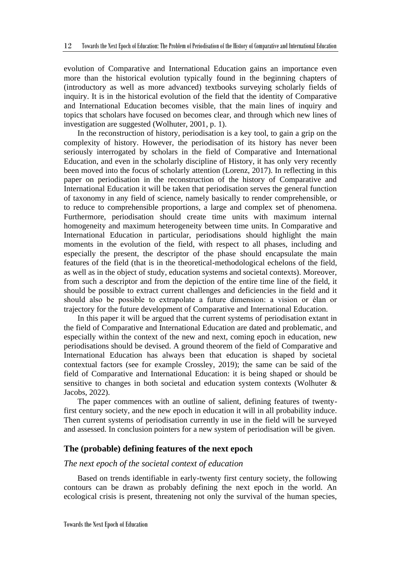evolution of Comparative and International Education gains an importance even more than the historical evolution typically found in the beginning chapters of (introductory as well as more advanced) textbooks surveying scholarly fields of inquiry. It is in the historical evolution of the field that the identity of Comparative and International Education becomes visible, that the main lines of inquiry and topics that scholars have focused on becomes clear, and through which new lines of investigation are suggested (Wolhuter, 2001, p. 1).

In the reconstruction of history, periodisation is a key tool, to gain a grip on the complexity of history. However, the periodisation of its history has never been seriously interrogated by scholars in the field of Comparative and International Education, and even in the scholarly discipline of History, it has only very recently been moved into the focus of scholarly attention (Lorenz, 2017). In reflecting in this paper on periodisation in the reconstruction of the history of Comparative and International Education it will be taken that periodisation serves the general function of taxonomy in any field of science, namely basically to render comprehensible, or to reduce to comprehensible proportions, a large and complex set of phenomena. Furthermore, periodisation should create time units with maximum internal homogeneity and maximum heterogeneity between time units. In Comparative and International Education in particular, periodisations should highlight the main moments in the evolution of the field, with respect to all phases, including and especially the present, the descriptor of the phase should encapsulate the main features of the field (that is in the theoretical-methodological echelons of the field, as well as in the object of study, education systems and societal contexts). Moreover, from such a descriptor and from the depiction of the entire time line of the field, it should be possible to extract current challenges and deficiencies in the field and it should also be possible to extrapolate a future dimension: a vision or élan or trajectory for the future development of Comparative and International Education.

In this paper it will be argued that the current systems of periodisation extant in the field of Comparative and International Education are dated and problematic, and especially within the context of the new and next, coming epoch in education, new periodisations should be devised. A ground theorem of the field of Comparative and International Education has always been that education is shaped by societal contextual factors (see for example Crossley, 2019); the same can be said of the field of Comparative and International Education: it is being shaped or should be sensitive to changes in both societal and education system contexts (Wolhuter & Jacobs, 2022).

The paper commences with an outline of salient, defining features of twentyfirst century society, and the new epoch in education it will in all probability induce. Then current systems of periodisation currently in use in the field will be surveyed and assessed. In conclusion pointers for a new system of periodisation will be given.

#### **The (probable) defining features of the next epoch**

#### *The next epoch of the societal context of education*

Based on trends identifiable in early-twenty first century society, the following contours can be drawn as probably defining the next epoch in the world. An ecological crisis is present, threatening not only the survival of the human species,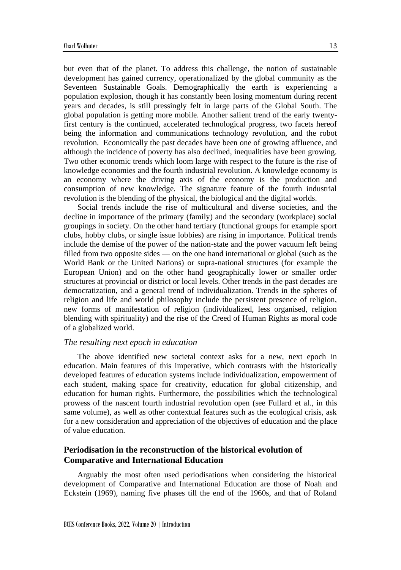but even that of the planet. To address this challenge, the notion of sustainable development has gained currency, operationalized by the global community as the Seventeen Sustainable Goals. Demographically the earth is experiencing a population explosion, though it has constantly been losing momentum during recent years and decades, is still pressingly felt in large parts of the Global South. The global population is getting more mobile. Another salient trend of the early twentyfirst century is the continued, accelerated technological progress, two facets hereof being the information and communications technology revolution, and the robot revolution. Economically the past decades have been one of growing affluence, and although the incidence of poverty has also declined, inequalities have been growing. Two other economic trends which loom large with respect to the future is the rise of knowledge economies and the fourth industrial revolution. A knowledge economy is an economy where the driving axis of the economy is the production and consumption of new knowledge. The signature feature of the fourth industrial revolution is the blending of the physical, the biological and the digital worlds.

Social trends include the rise of multicultural and diverse societies, and the decline in importance of the primary (family) and the secondary (workplace) social groupings in society. On the other hand tertiary (functional groups for example sport clubs, hobby clubs, or single issue lobbies) are rising in importance. Political trends include the demise of the power of the nation-state and the power vacuum left being filled from two opposite sides — on the one hand international or global (such as the World Bank or the United Nations) or supra-national structures (for example the European Union) and on the other hand geographically lower or smaller order structures at provincial or district or local levels. Other trends in the past decades are democratization, and a general trend of individualization. Trends in the spheres of religion and life and world philosophy include the persistent presence of religion, new forms of manifestation of religion (individualized, less organised, religion blending with spirituality) and the rise of the Creed of Human Rights as moral code of a globalized world.

#### *The resulting next epoch in education*

The above identified new societal context asks for a new, next epoch in education. Main features of this imperative, which contrasts with the historically developed features of education systems include individualization, empowerment of each student, making space for creativity, education for global citizenship, and education for human rights. Furthermore, the possibilities which the technological prowess of the nascent fourth industrial revolution open (see Fullard et al., in this same volume), as well as other contextual features such as the ecological crisis, ask for a new consideration and appreciation of the objectives of education and the place of value education.

### **Periodisation in the reconstruction of the historical evolution of Comparative and International Education**

Arguably the most often used periodisations when considering the historical development of Comparative and International Education are those of Noah and Eckstein (1969), naming five phases till the end of the 1960s, and that of Roland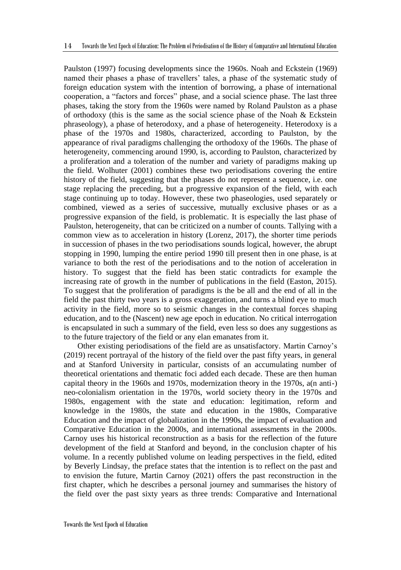Paulston (1997) focusing developments since the 1960s. Noah and Eckstein (1969) named their phases a phase of travellers' tales, a phase of the systematic study of foreign education system with the intention of borrowing, a phase of international cooperation, a "factors and forces" phase, and a social science phase. The last three phases, taking the story from the 1960s were named by Roland Paulston as a phase of orthodoxy (this is the same as the social science phase of the Noah  $\&$  Eckstein phraseology), a phase of heterodoxy, and a phase of heterogeneity. Heterodoxy is a phase of the 1970s and 1980s, characterized, according to Paulston, by the appearance of rival paradigms challenging the orthodoxy of the 1960s. The phase of heterogeneity, commencing around 1990, is, according to Paulston, characterized by a proliferation and a toleration of the number and variety of paradigms making up the field. Wolhuter (2001) combines these two periodisations covering the entire history of the field, suggesting that the phases do not represent a sequence, i.e. one stage replacing the preceding, but a progressive expansion of the field, with each stage continuing up to today. However, these two phaseologies, used separately or combined, viewed as a series of successive, mutually exclusive phases or as a progressive expansion of the field, is problematic. It is especially the last phase of Paulston, heterogeneity, that can be criticized on a number of counts. Tallying with a common view as to acceleration in history (Lorenz, 2017), the shorter time periods in succession of phases in the two periodisations sounds logical, however, the abrupt stopping in 1990, lumping the entire period 1990 till present then in one phase, is at variance to both the rest of the periodisations and to the notion of acceleration in history. To suggest that the field has been static contradicts for example the increasing rate of growth in the number of publications in the field (Easton, 2015). To suggest that the proliferation of paradigms is the be all and the end of all in the field the past thirty two years is a gross exaggeration, and turns a blind eye to much activity in the field, more so to seismic changes in the contextual forces shaping education, and to the (Nascent) new age epoch in education. No critical interrogation is encapsulated in such a summary of the field, even less so does any suggestions as to the future trajectory of the field or any elan emanates from it.

Other existing periodisations of the field are as unsatisfactory. Martin Carnoy's (2019) recent portrayal of the history of the field over the past fifty years, in general and at Stanford University in particular, consists of an accumulating number of theoretical orientations and thematic foci added each decade. These are then human capital theory in the 1960s and 1970s, modernization theory in the 1970s, a(n anti-) neo-colonialism orientation in the 1970s, world society theory in the 1970s and 1980s, engagement with the state and education: legitimation, reform and knowledge in the 1980s, the state and education in the 1980s, Comparative Education and the impact of globalization in the 1990s, the impact of evaluation and Comparative Education in the 2000s, and international assessments in the 2000s. Carnoy uses his historical reconstruction as a basis for the reflection of the future development of the field at Stanford and beyond, in the conclusion chapter of his volume. In a recently published volume on leading perspectives in the field, edited by Beverly Lindsay, the preface states that the intention is to reflect on the past and to envision the future, Martin Carnoy (2021) offers the past reconstruction in the first chapter, which he describes a personal journey and summarises the history of the field over the past sixty years as three trends: Comparative and International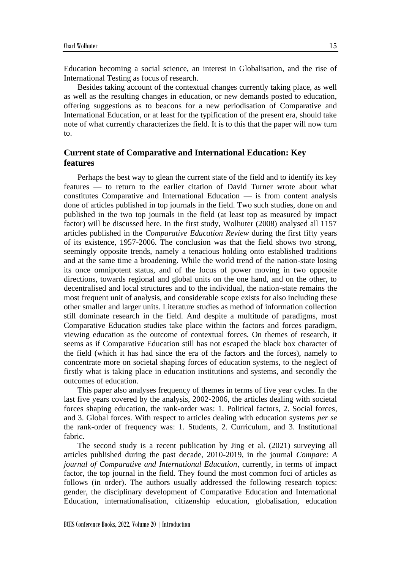Education becoming a social science, an interest in Globalisation, and the rise of International Testing as focus of research.

Besides taking account of the contextual changes currently taking place, as well as well as the resulting changes in education, or new demands posted to education, offering suggestions as to beacons for a new periodisation of Comparative and International Education, or at least for the typification of the present era, should take note of what currently characterizes the field. It is to this that the paper will now turn to.

### **Current state of Comparative and International Education: Key features**

Perhaps the best way to glean the current state of the field and to identify its key features — to return to the earlier citation of David Turner wrote about what constitutes Comparative and International Education — is from content analysis done of articles published in top journals in the field. Two such studies, done on and published in the two top journals in the field (at least top as measured by impact factor) will be discussed here. In the first study, Wolhuter (2008) analysed all 1157 articles published in the *Comparative Education Review* during the first fifty years of its existence, 1957-2006. The conclusion was that the field shows two strong, seemingly opposite trends, namely a tenacious holding onto established traditions and at the same time a broadening. While the world trend of the nation-state losing its once omnipotent status, and of the locus of power moving in two opposite directions, towards regional and global units on the one hand, and on the other, to decentralised and local structures and to the individual, the nation-state remains the most frequent unit of analysis, and considerable scope exists for also including these other smaller and larger units. Literature studies as method of information collection still dominate research in the field. And despite a multitude of paradigms, most Comparative Education studies take place within the factors and forces paradigm, viewing education as the outcome of contextual forces. On themes of research, it seems as if Comparative Education still has not escaped the black box character of the field (which it has had since the era of the factors and the forces), namely to concentrate more on societal shaping forces of education systems, to the neglect of firstly what is taking place in education institutions and systems, and secondly the outcomes of education.

This paper also analyses frequency of themes in terms of five year cycles. In the last five years covered by the analysis, 2002-2006, the articles dealing with societal forces shaping education, the rank-order was: 1. Political factors, 2. Social forces, and 3. Global forces. With respect to articles dealing with education systems *per se* the rank-order of frequency was: 1. Students, 2. Curriculum, and 3. Institutional fabric.

The second study is a recent publication by Jing et al. (2021) surveying all articles published during the past decade, 2010-2019, in the journal *Compare: A journal of Comparative and International Education*, currently, in terms of impact factor, the top journal in the field. They found the most common foci of articles as follows (in order). The authors usually addressed the following research topics: gender, the disciplinary development of Comparative Education and International Education, internationalisation, citizenship education, globalisation, education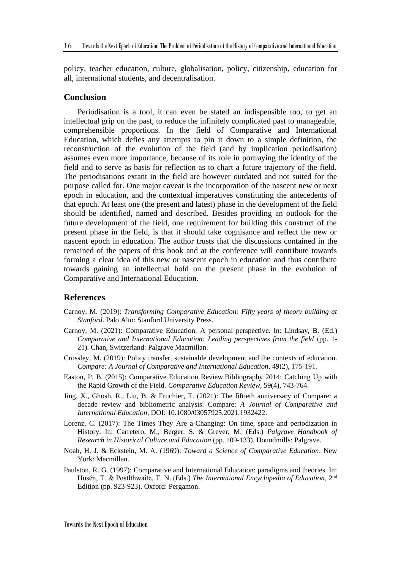policy, teacher education, culture, globalisation, policy, citizenship, education for all, international students, and decentralisation.

#### **Conclusion**

Periodisation is a tool, it can even be stated an indispensible too, to get an intellectual grip on the past, to reduce the infinitely complicated past to manageable, comprehensible proportions. In the field of Comparative and International Education, which defies any attempts to pin it down to a simple definition, the reconstruction of the evolution of the field (and by implication periodisation) assumes even more importance, because of its role in portraying the identity of the field and to serve as basis for reflection as to chart a future trajectory of the field. The periodisations extant in the field are however outdated and not suited for the purpose called for. One major caveat is the incorporation of the nascent new or next epoch in education, and the contextual imperatives constituting the antecedents of that epoch. At least one (the present and latest) phase in the development of the field should be identified, named and described. Besides providing an outlook for the future development of the field, one requirement for building this construct of the present phase in the field, is that it should take cognisance and reflect the new or nascent epoch in education. The author trusts that the discussions contained in the remained of the papers of this book and at the conference will contribute towards forming a clear idea of this new or nascent epoch in education and thus contribute towards gaining an intellectual hold on the present phase in the evolution of Comparative and International Education.

#### **References**

- Carnoy, M. (2019): *Transforming Comparative Education: Fifty years of theory building at Stanford*. Palo Alto: Stanford University Press.
- Carnoy, M. (2021): Comparative Education: A personal perspective. In: Lindsay, B. (Ed.) *Comparative and International Education: Leading perspectives from the field* (pp. 1- 21)*.* Chan, Switzerland: Palgrave Macmillan.
- Crossley, M. (2019): Policy transfer, sustainable development and the context*s* of education. *Compare: A Journal of Comparative and International Education*, 49(2), 175-191.
- Easton, P. B. (2015): Comparative Education Review Bibliography 2014: Catching Up with the Rapid Growth of the Field. *Comparative Education Review*, 59(4), 743-764.
- Jing, X., Ghosh, R., Liu, B. & Fruchier, T. (2021): The fiftieth anniversary of Compare: a decade review and bibliometric analysis. Compare: *A Journal of Comparative and International Education*, DOI: 10.1080/03057925.2021.1932422.
- Lorenz, C. (2017): The Times They Are a-Changing: On time, space and periodization in History. In: Carretero, M., Berger, S. & Grever, M. (Eds.) *Palgrave Handbook of Research in Historical Culture and Education* (pp. 109-133). Houndmills: Palgrave.
- Noah, H. J. & Eckstein, M. A. (1969): *Toward a Science of Comparative Education*. New York: Macmillan.
- Paulston, R. G. (1997): Comparative and International Education: paradigms and theories. In: Husén, T. & Postlthwaite, T. N. (Eds.) The International Encyclopedia of Education, 2<sup>nd</sup> Edition (pp. 923-923). Oxford: Pergamon.